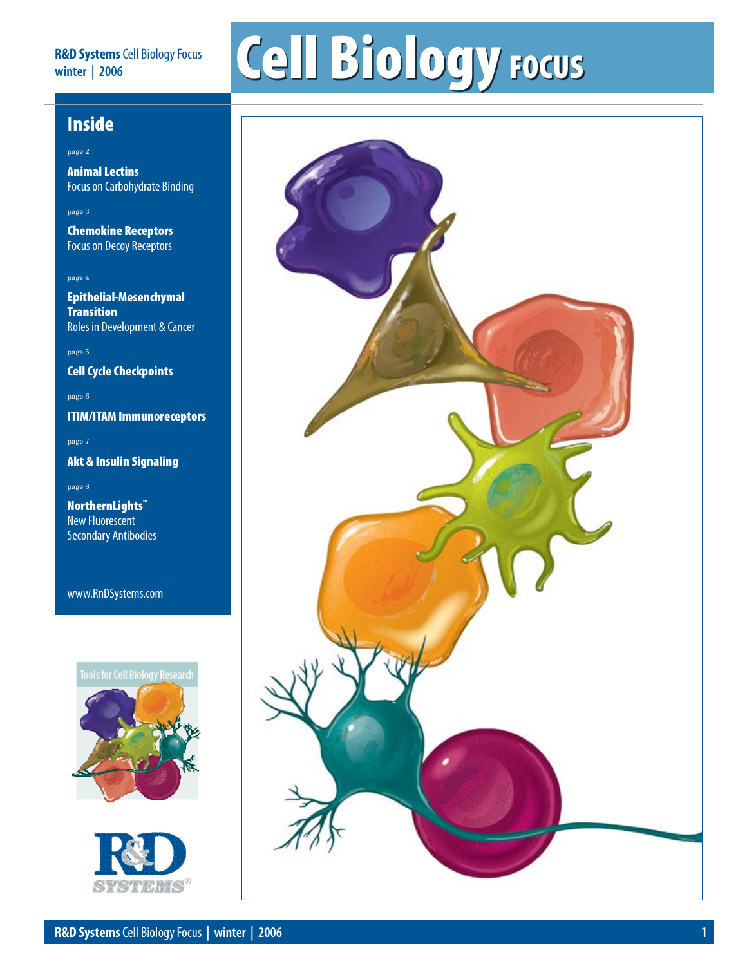### **R&D Systems** Cell Biology Focus **winter | 2006**

# Cell Biology Focus

## Inside

page 2

Animal Lectins Focus on Carbohydrate Binding

### page 3

Chemokine Receptors Focus on Decoy Receptors

### page 4

Epithelial-Mesenchymal **Transition** Roles in Development & Cancer

page 5

Cell Cycle Checkpoints

page 6

ITIM/ITAM Immunoreceptors

page 7

Akt & Insulin Signaling

page 8

NorthernLights™ New Fluorescent Secondary Antibodies

www.RnDSystems.com

### **Tools for Cell Biology Research**





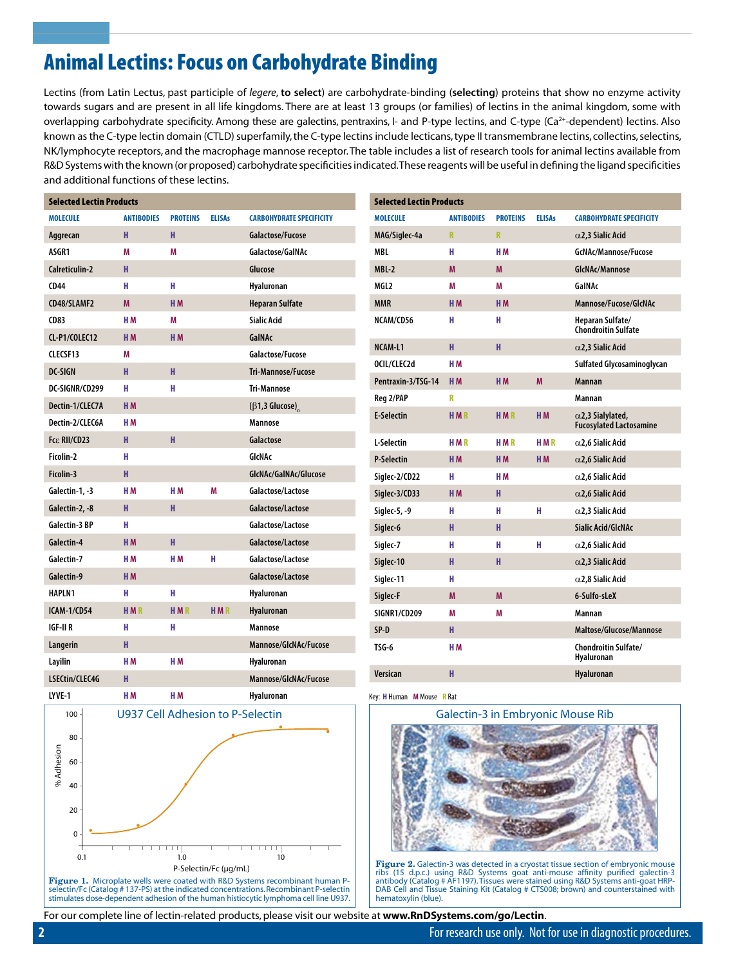# Animal Lectins: Focus on Carbohydrate Binding

Lectins (from Latin Lectus, past participle of *legere*, **to select**) are carbohydrate-binding (**selecting**) proteins that show no enzyme activity towards sugars and are present in all life kingdoms. There are at least 13 groups (or families) of lectins in the animal kingdom, some with overlapping carbohydrate specificity. Among these are galectins, pentraxins, I- and P-type lectins, and C-type (Ca<sup>2+</sup>-dependent) lectins. Also known as the C-type lectin domain (CTLD) superfamily, the C-type lectins include lecticans, type II transmembrane lectins, collectins, selectins, NK/lymphocyte receptors, and the macrophage mannose receptor. The table includes a list of research tools for animal lectins available from R&D Systems with the known (or proposed) carbohydrate specificities indicated. These reagents will be useful in defining the ligand specificities and additional functions of these lectins.

| <b>Selected Lectin Products</b>   |                     |                 |               |                                                               |                    | <b>Selected Lectin Products</b> |                   |                         |                |
|-----------------------------------|---------------------|-----------------|---------------|---------------------------------------------------------------|--------------------|---------------------------------|-------------------|-------------------------|----------------|
| <b>MOLECULE</b>                   | <b>ANTIBODIES</b>   | <b>PROTEINS</b> | <b>ELISAs</b> | <b>CARBOHYDRATE SPECIFICITY</b>                               |                    | <b>MOLECULE</b>                 | <b>ANTIBODIES</b> | <b>PROTEINS</b>         | <b>ELISAs</b>  |
| Aggrecan                          | н                   | H               |               | Galactose/Fucose                                              | MAG/Siglec-4a      |                                 | R.                | $\overline{\mathsf{R}}$ |                |
| ASGR1                             | M                   | M               |               | Galactose/GalNAc                                              | <b>MBL</b>         |                                 | H                 | H <sub>M</sub>          |                |
| Calreticulin-2                    | H                   |                 |               | Glucose                                                       | $MBL-2$            |                                 | M                 | M                       |                |
| <b>CD44</b>                       | н                   | н               |               | Hyaluronan                                                    | MGL2               |                                 | Μ                 | Μ                       |                |
| CD48/SLAMF2                       | M                   | H <sub>M</sub>  |               | <b>Heparan Sulfate</b>                                        | <b>MMR</b>         |                                 | H <sub>M</sub>    | H <sub>M</sub>          |                |
| <b>CD83</b>                       | H <sub>M</sub>      | M               |               | <b>Sialic Acid</b>                                            | NCAM/CD56          | H                               |                   | н                       |                |
| CL-P1/COLEC12                     | H <sub>M</sub>      | H <sub>M</sub>  |               | GaINAc                                                        | NCAM-L1            | H                               |                   | H                       |                |
| CLECSF13                          | M                   |                 |               | Galactose/Fucose                                              | OCIL/CLEC2d        | H <sub>M</sub>                  |                   |                         |                |
| <b>DC-SIGN</b>                    | H                   | H<br>H          |               | Tri-Mannose/Fucose                                            | Pentraxin-3/TSG-14 | H <sub>M</sub>                  |                   | H <sub>M</sub>          | M              |
| DC-SIGNR/CD299<br>Dectin-1/CLEC7A | н<br>H <sub>M</sub> |                 |               | <b>Tri-Mannose</b>                                            | Reg 2/PAP          | R                               |                   |                         |                |
| Dectin-2/CLEC6A                   | H <sub>M</sub>      |                 |               | $(\beta 1, 3 \text{ Glucose})$ <sub>n</sub><br><b>Mannose</b> | <b>E-Selectin</b>  | <b>HMR</b>                      |                   | <b>HMR</b>              | H <sub>M</sub> |
| Fcε RII/CD23                      | H                   | H               |               | Galactose                                                     | L-Selectin         | <b>HMR</b>                      |                   | <b>HMR</b>              | <b>HMR</b>     |
| Ficolin-2                         | н                   |                 |               | GIcNAc                                                        | <b>P-Selectin</b>  | H <sub>M</sub>                  |                   | H <sub>M</sub>          | H <sub>M</sub> |
| Ficolin-3                         | H                   |                 |               | GlcNAc/GalNAc/Glucose                                         | Sialec-2/CD22      | н                               |                   | H <sub>M</sub>          |                |
| Galectin-1, -3                    | H <sub>M</sub>      | H M             | M             | Galactose/Lactose                                             | Siglec-3/CD33      | H <sub>M</sub>                  |                   | H                       |                |
| Galectin-2, -8                    | H                   | H               |               | Galactose/Lactose                                             | Siglec-5, -9       | н                               |                   | н                       | н              |
| <b>Galectin-3 BP</b>              | н                   |                 |               | Galactose/Lactose                                             | Siglec-6           | H                               |                   | H                       |                |
| Galectin-4                        | H <sub>M</sub>      | H               |               | Galactose/Lactose                                             | Siglec-7           | н                               |                   | н                       | н              |
| Galectin-7                        | H <sub>M</sub>      | H <sub>M</sub>  | н             | Galactose/Lactose                                             | Siglec-10          | H                               |                   | H                       |                |
| Galectin-9                        | H <sub>M</sub>      |                 |               | Galactose/Lactose                                             | Siglec-11          | H                               |                   |                         |                |
| <b>HAPLN1</b>                     | н                   | H               |               | Hyaluronan                                                    | Siglec-F           | M                               |                   | M                       |                |
| <b>ICAM-1/CD54</b>                | <b>HMR</b>          | <b>HMR</b>      | <b>HMR</b>    | Hyaluronan                                                    | SIGNR1/CD209       | M                               |                   | M                       |                |
| <b>IGF-II R</b>                   | н                   | H               |               | <b>Mannose</b>                                                | SP-D               | H                               |                   |                         |                |
| Langerin                          | H                   |                 |               | Mannose/GlcNAc/Fucose                                         | TSG-6              | H <sub>M</sub>                  |                   |                         |                |
| Layilin                           | H <sub>M</sub>      | H <sub>M</sub>  |               | Hyaluronan                                                    | Versican           | H                               |                   |                         |                |
| LSECtin/CLEC4G                    | H                   |                 |               | Mannose/GlcNAc/Fucose                                         |                    |                                 |                   |                         |                |



selectin/Fc (Catalog # 137-PS) at the indicated concentrations. Recombinant P-selectin stimulates dose-dependent adhesion of the human histiocytic lymphoma cell line U937.

Key: **H** Human **M** Mouse **R** Rat



**Figure 2.** Galectin-3 was detected in a cryostat tissue section of embryonic mouse<br>ribs (15 d.p.c.) using R&D Systems goat anti-mouse affinity purified galectin-3<br>antibody (Catalog # AF1197).Tissues were stained using R&D DAB Cell and Tissue Staining Kit (Catalog # CTS008; brown) and counterstained with hematoxylin (blue).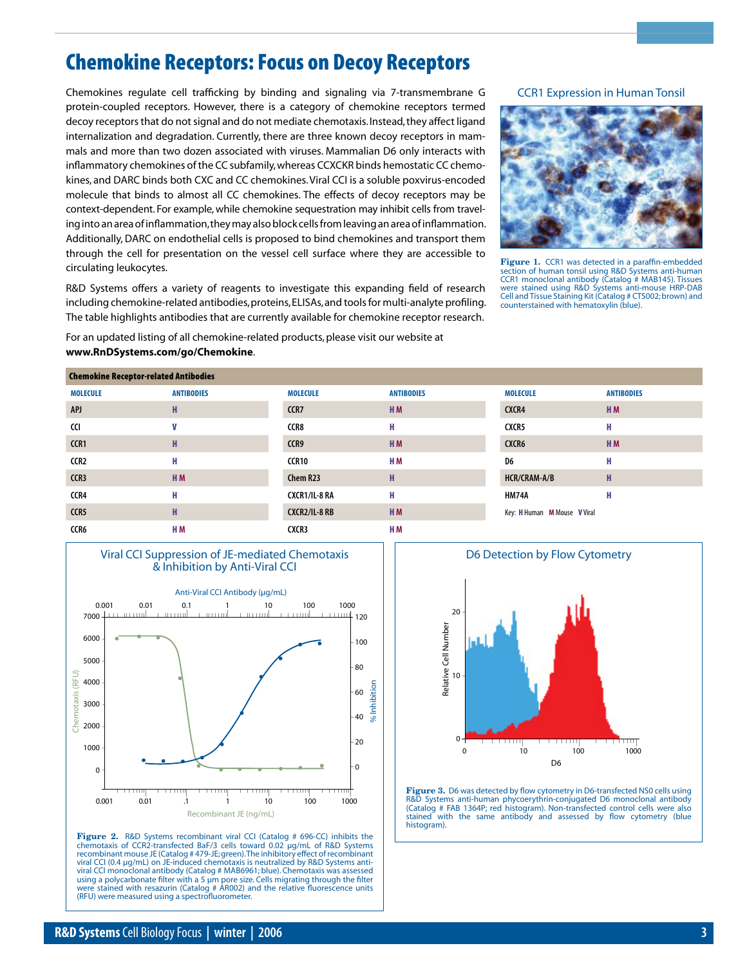# Chemokine Receptors: Focus on Decoy Receptors

Chemokines regulate cell trafficking by binding and signaling via 7-transmembrane G protein-coupled receptors. However, there is a category of chemokine receptors termed decoy receptors that do not signal and do not mediate chemotaxis. Instead, they affect ligand internalization and degradation. Currently, there are three known decoy receptors in mammals and more than two dozen associated with viruses. Mammalian D6 only interacts with inflammatory chemokines of the CC subfamily, whereas CCXCKR binds hemostatic CC chemokines, and DARC binds both CXC and CC chemokines. Viral CCI is a soluble poxvirus-encoded molecule that binds to almost all CC chemokines. The effects of decoy receptors may be context-dependent. For example, while chemokine sequestration may inhibit cells from traveling into an area of inflammation, they may also block cells from leaving an area of inflammation. Additionally, DARC on endothelial cells is proposed to bind chemokines and transport them through the cell for presentation on the vessel cell surface where they are accessible to circulating leukocytes.

R&D Systems offers a variety of reagents to investigate this expanding field of research including chemokine-related antibodies, proteins, ELISAs, and tools for multi-analyte profiling. The table highlights antibodies that are currently available for chemokine receptor research.

For an updated listing of all chemokine-related products, please visit our website at **www.RnDSystems.com/go/Chemokine**.

### CCR1 Expression in Human Tonsil



**Figure 1.** CCR1 was detected in a paraffin-embedded section of human tonsil using R&D Systems anti-human CCR1 monoclonal antibody (Catalog # MAB145). Tissues were stained using R&D Systems anti-mouse HRP-DAB Cell and Tissue Staining Kit (Catalog # CTS002; brown) and counterstained with hematoxylin (blue).

| <b>Chemokine Receptor-related Antibodies</b> |                   |                      |                   |                              |                   |  |  |
|----------------------------------------------|-------------------|----------------------|-------------------|------------------------------|-------------------|--|--|
| <b>MOLECULE</b>                              | <b>ANTIBODIES</b> | <b>MOLECULE</b>      | <b>ANTIBODIES</b> | <b>MOLECULE</b>              | <b>ANTIBODIES</b> |  |  |
| <b>APJ</b>                                   | н                 | CCR7                 | H <sub>M</sub>    | CXCR4                        | H <sub>M</sub>    |  |  |
| CCI                                          | v                 | CCR8                 | н                 | CXCR5                        | н                 |  |  |
| CCR1                                         | н                 | CCR9                 | H <sub>M</sub>    | CXCR6                        | H <sub>M</sub>    |  |  |
| CCR <sub>2</sub>                             | н                 | CCR10                | H <sub>M</sub>    | D6                           | н                 |  |  |
| CCR3                                         | H <sub>M</sub>    | Chem R23             | н                 | HCR/CRAM-A/B                 | н                 |  |  |
| CCR4                                         | н                 | <b>CXCR1/IL-8 RA</b> | н                 | <b>HM74A</b>                 | н                 |  |  |
| CCR5                                         | H                 | <b>CXCR2/IL-8 RB</b> | H <sub>M</sub>    | Key: H Human M Mouse V Viral |                   |  |  |
| CCR6                                         | H M               | CXCR3                | H <sub>M</sub>    |                              |                   |  |  |



**Figure 2.** R&D Systems recombinant viral CCI (Catalog # 696-CC) inhibits the chemotaxis of CCR2-transfected BaF/3 cells toward 0.02 µg/mL of R&D Systems<br>recombinant mouse JE (Catalog # 479-JE;green).The inhibitory effect of recombinant<br>viral CCI (0.4 µg/mL) on JE-induced chemotaxis is neutralized b viral CCI monoclonal antibody (Catalog # MAB6961; blue). Chemotaxis was assessed using a polycarbonate filter with a 5 µm pore size. Cells migrating through the filter stained with resazurin (Catalog # AR002) and the relative fluorescence units (RFU) were measured using a spectrofluorometer.



**Figure 3.** D6 was detected by flow cytometry in D6-transfected NS0 cells using R&D Systems anti-human phycoerythrin-conjugated D6 monoclonal antibody (Catalog # FAB 1364P; red histogram). Non-transfected control cells were also stained with the same antibody and assessed by flow cytometry (blue histogram).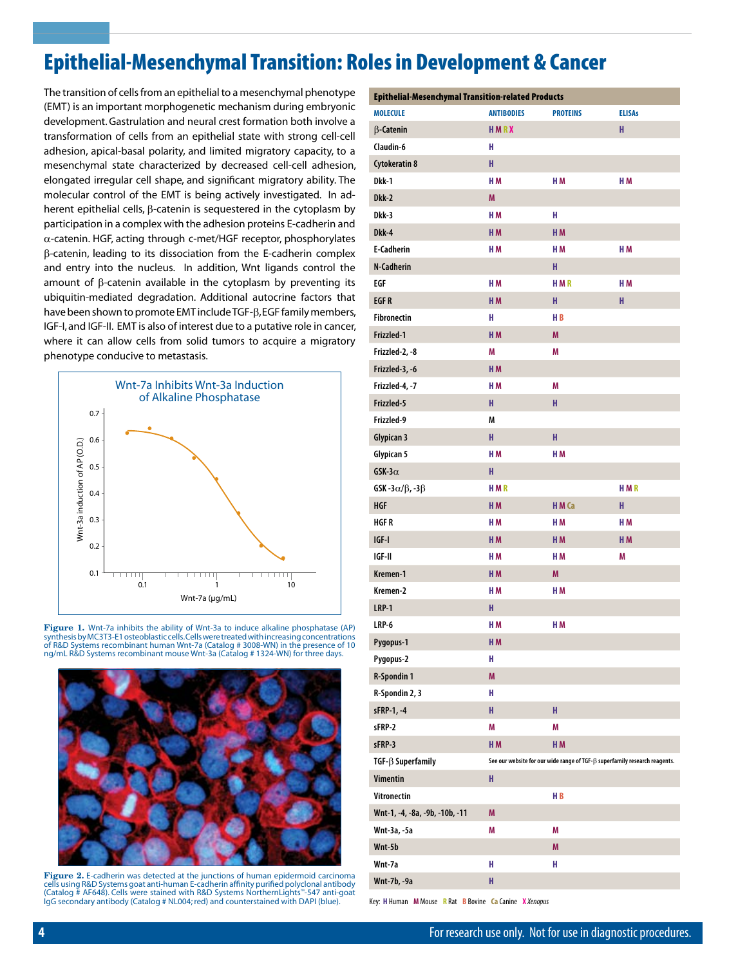# Epithelial-Mesenchymal Transition: Roles in Development & Cancer

The transition of cells from an epithelial to a mesenchymal phenotype (EMT) is an important morphogenetic mechanism during embryonic development. Gastrulation and neural crest formation both involve a transformation of cells from an epithelial state with strong cell-cell adhesion, apical-basal polarity, and limited migratory capacity, to a mesenchymal state characterized by decreased cell-cell adhesion, elongated irregular cell shape, and significant migratory ability. The molecular control of the EMT is being actively investigated. In adherent epithelial cells,  $\beta$ -catenin is sequestered in the cytoplasm by participation in a complex with the adhesion proteins E-cadherin and  $\alpha$ -catenin. HGF, acting through c-met/HGF receptor, phosphorylates b-catenin, leading to its dissociation from the E-cadherin complex and entry into the nucleus. In addition, Wnt ligands control the amount of  $\beta$ -catenin available in the cytoplasm by preventing its ubiquitin-mediated degradation. Additional autocrine factors that have been shown to promote EMT include TGF- $\beta$ , EGF family members, IGF-I, and IGF-II. EMT is also of interest due to a putative role in cancer, where it can allow cells from solid tumors to acquire a migratory phenotype conducive to metastasis.



**Figure 1.** Wnt-7a inhibits the ability of Wnt-3a to induce alkaline phosphatase (AP) synthesis by MC3T3-E1 osteoblastic cells. Cells were treated with increasing concentrations of R&D Systems recombinant human Wnt-7a (Catalog # 3008-WN) in the presence of 10 ng/mL R&D Systems recombinant mouse Wnt-3a (Catalog # 1324-WN) for three days.



**Figure 2.** E-cadherin was detected at the junctions of human epidermoid carcinoma cells using R&D Systems goat anti-human E-cadherin affinity purified polyclonal antibody (Catalog # AF648). Cells were stained with R&D Systems NorthernLights™-547 anti-goat IgG secondary antibody (Catalog # NL004; red) and counterstained with DAPI (blue).

| <b>Epithelial-Mesenchymal Transition-related Products</b> |                   |                                                                                   |                |  |  |  |
|-----------------------------------------------------------|-------------------|-----------------------------------------------------------------------------------|----------------|--|--|--|
| <b>MOLECULE</b>                                           | <b>ANTIBODIES</b> | <b>PROTEINS</b>                                                                   | <b>ELISAs</b>  |  |  |  |
| <b>B-Catenin</b>                                          | HMRX              |                                                                                   | H              |  |  |  |
| Claudin-6                                                 | н                 |                                                                                   |                |  |  |  |
| <b>Cytokeratin 8</b>                                      | H                 |                                                                                   |                |  |  |  |
| Dkk-1                                                     | H <sub>M</sub>    | H <sub>M</sub>                                                                    | H <sub>M</sub> |  |  |  |
| Dkk-2                                                     | M                 |                                                                                   |                |  |  |  |
| Dkk-3                                                     | H <sub>M</sub>    | н                                                                                 |                |  |  |  |
| Dkk-4                                                     | H <sub>M</sub>    | H <sub>M</sub>                                                                    |                |  |  |  |
| <b>E-Cadherin</b>                                         | HM                | H M                                                                               | H <sub>M</sub> |  |  |  |
| N-Cadherin                                                |                   | H                                                                                 |                |  |  |  |
| EGF                                                       | H <sub>M</sub>    | <b>HMR</b>                                                                        | H <sub>M</sub> |  |  |  |
| <b>EGFR</b>                                               | H <sub>M</sub>    | H.                                                                                | H              |  |  |  |
| <b>Fibronectin</b>                                        | н                 | HB                                                                                |                |  |  |  |
| Frizzled-1                                                | H <sub>M</sub>    | M                                                                                 |                |  |  |  |
| Frizzled-2, -8                                            | M                 | M                                                                                 |                |  |  |  |
| Frizzled-3, -6                                            | H <sub>M</sub>    |                                                                                   |                |  |  |  |
| Frizzled-4, -7                                            | H <sub>M</sub>    | M                                                                                 |                |  |  |  |
| Frizzled-5                                                | H.                | H.                                                                                |                |  |  |  |
| Frizzled-9                                                | M                 |                                                                                   |                |  |  |  |
| <b>Glypican 3</b>                                         | H                 | H                                                                                 |                |  |  |  |
| Glypican 5                                                | H <sub>M</sub>    | H <sub>M</sub>                                                                    |                |  |  |  |
| GSK-3 $\alpha$                                            | H                 |                                                                                   |                |  |  |  |
| GSK-3 $\alpha/\beta$ ,-3 $\beta$                          | <b>HMR</b>        |                                                                                   | <b>HMR</b>     |  |  |  |
| <b>HGF</b>                                                | H <sub>M</sub>    | HM Ca                                                                             | H              |  |  |  |
| <b>HGFR</b>                                               | H <sub>M</sub>    | H <sub>M</sub>                                                                    | H <sub>M</sub> |  |  |  |
| $IGF-I$                                                   | H <sub>M</sub>    | H <sub>M</sub>                                                                    | H <sub>M</sub> |  |  |  |
| IGF-II                                                    | H <sub>M</sub>    | H M                                                                               | M              |  |  |  |
| Kremen-1                                                  | H <sub>M</sub>    | M                                                                                 |                |  |  |  |
| Kremen-2                                                  | H <sub>M</sub>    | H <sub>M</sub>                                                                    |                |  |  |  |
| <b>LRP-1</b>                                              | H.                |                                                                                   |                |  |  |  |
| LRP-6                                                     | HM                | HM                                                                                |                |  |  |  |
| Pygopus-1                                                 | HM                |                                                                                   |                |  |  |  |
| Pygopus-2                                                 | H                 |                                                                                   |                |  |  |  |
| R-Spondin 1                                               | M                 |                                                                                   |                |  |  |  |
| R-Spondin 2, 3                                            | H                 |                                                                                   |                |  |  |  |
| sFRP-1, -4                                                | H                 | H.                                                                                |                |  |  |  |
| sFRP-2                                                    | M                 | Μ                                                                                 |                |  |  |  |
| sFRP-3                                                    | H <sub>M</sub>    | H <sub>M</sub>                                                                    |                |  |  |  |
| $TGF-\beta$ Superfamily                                   |                   | See our website for our wide range of TGF- $\beta$ superfamily research reagents. |                |  |  |  |
| <b>Vimentin</b>                                           | H                 |                                                                                   |                |  |  |  |
| Vitronectin                                               |                   | HВ                                                                                |                |  |  |  |
| Wnt-1, -4, -8a, -9b, -10b, -11                            | M                 |                                                                                   |                |  |  |  |
| Wnt-3a, -5a                                               | M                 | M                                                                                 |                |  |  |  |
| Wnt-5b                                                    |                   | M                                                                                 |                |  |  |  |
| Wnt-7a                                                    | H                 | H                                                                                 |                |  |  |  |
| Wnt-7b, -9a                                               | H                 |                                                                                   |                |  |  |  |
|                                                           |                   |                                                                                   |                |  |  |  |

Key: **H** Human **M** Mouse **R** Rat **B** Bovine **Ca** Canine **X** *Xenopus*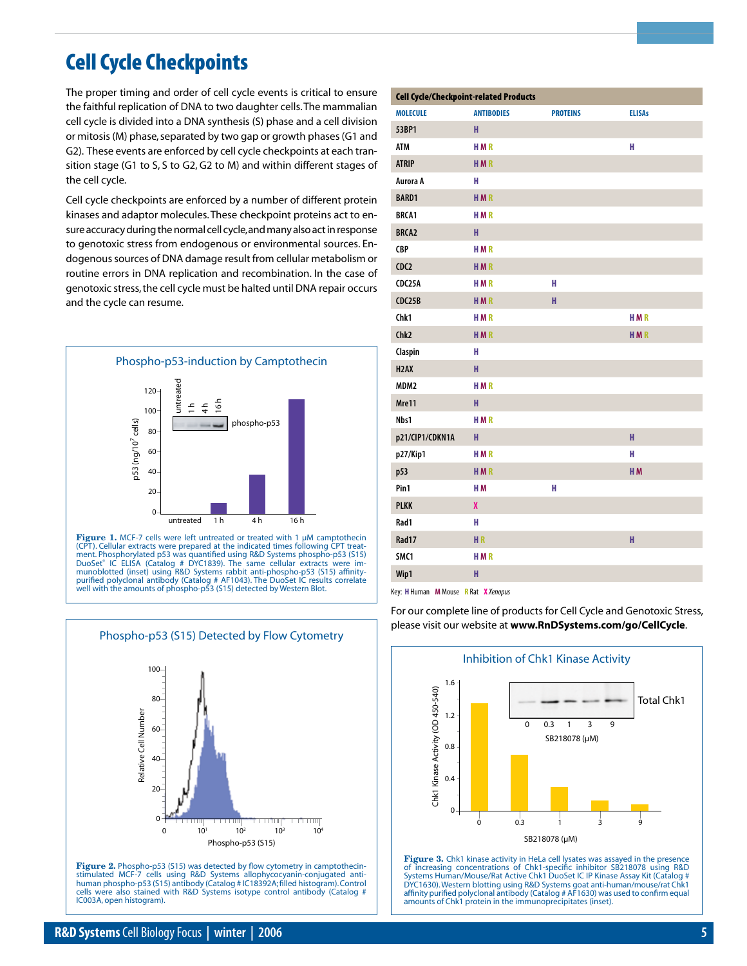

0

100

# Cell Cycle Checkpoints

The proper timing and order of cell cycle events is critical to ensure the faithful replication of DNA to two daughter cells. The mammalian cell cycle is divided into a DNA synthesis (S) phase and a cell division or mitosis (M) phase, separated by two gap or growth phases (G1 and G2). These events are enforced by cell cycle checkpoints at each transition stage (G1 to S, S to G2, G2 to M) and within different stages of the cell cycle.

Cell cycle checkpoints are enforced by a number of different protein kinases and adaptor molecules. These checkpoint proteins act to ensure accuracy during the normal cell cycle, and many also act in response to genotoxic stress from endogenous or environmental sources. Endogenous sources of DNA damage result from cellular metabolism or routine errors in DNA replication and recombination. In the case of genotoxic stress, the cell cycle must be halted until DNA repair occurs and the cycle can resume.



Figure 1. MCF-7 cells were left untreated or treated with 1 µM camptothecin (CPT). Cellular extracts were prepared at the indicated times following CPT treat-<br>ment. Phosphorylated p53 was quantified using R&D Systems phospho-p53 (S15)<br>DuoSet® IC ELISA (Catalog # DYC1839). The same cellular extract purified polyclonal antibody (Catalog # AF1043). The DuoSet IC results correlate well with the amounts of phospho-p53 (S15) detected by Western Blot.

Phospho-p53 (S15) Detected by Flow Cytometry

| <b>MOLECULE</b>   | <b>Cell Cycle/Checkpoint-related Products</b><br><b>ANTIBODIES</b> | <b>PROTEINS</b> | <b>ELISAs</b>  |
|-------------------|--------------------------------------------------------------------|-----------------|----------------|
| 53BP1             | н                                                                  |                 |                |
| <b>ATM</b>        | <b>HMR</b>                                                         |                 | н              |
| <b>ATRIP</b>      | <b>HMR</b>                                                         |                 |                |
| Aurora A          | н                                                                  |                 |                |
| <b>BARD1</b>      | <b>HMR</b>                                                         |                 |                |
| <b>BRCA1</b>      | <b>HMR</b>                                                         |                 |                |
| <b>BRCA2</b>      | н                                                                  |                 |                |
| <b>CBP</b>        | <b>HMR</b>                                                         |                 |                |
| CDC2              | <b>HMR</b>                                                         |                 |                |
| CDC25A            | <b>HMR</b>                                                         | н               |                |
| CDC25B            | <b>HMR</b>                                                         | H               |                |
| Chk1              | <b>HMR</b>                                                         |                 | <b>HMR</b>     |
| Chk <sub>2</sub>  | <b>HMR</b>                                                         |                 | <b>HMR</b>     |
| Claspin           | н                                                                  |                 |                |
| H <sub>2</sub> AX | H                                                                  |                 |                |
| MDM <sub>2</sub>  | <b>HMR</b>                                                         |                 |                |
| Mre11             | н                                                                  |                 |                |
| Nbs1              | <b>HMR</b>                                                         |                 |                |
| p21/CIP1/CDKN1A   | н                                                                  |                 | H              |
| p27/Kip1          | <b>HMR</b>                                                         |                 | н              |
| p53               | <b>HMR</b>                                                         |                 | H <sub>M</sub> |
| Pin1              | H <sub>M</sub>                                                     | H               |                |
| <b>PLKK</b>       | X                                                                  |                 |                |
| Rad1              | н                                                                  |                 |                |
| Rad17             | <b>HR</b>                                                          |                 | H              |
| SMC1              | <b>HMR</b>                                                         |                 |                |
| Wip1              | н                                                                  |                 |                |
|                   |                                                                    |                 |                |

Key: **H** Human **M** Mouse **R** Rat **X** *Xenopus*

For our complete line of products for Cell Cycle and Genotoxic Stress, please visit our website at **www.RnDSystems.com/go/CellCycle**.



**Figure 3.** Chk1 kinase activity in HeLa cell lysates was assayed in the presence of increasing concentrations of Chk1-specific inhibitor SB218078 using R&D Systems Human/Mouse/Rat Active Chk1 DuoSet IC IP Kinase Assay Kit (Catalog # DYC1630). Western blotting using R&D Systems goat anti-human/mouse/rat Chk1 affinity purified polyclonal antibody (Catalog # AF1630) was used to confirm equal amounts of Chk1 protein in the immunoprecipitates (inset).

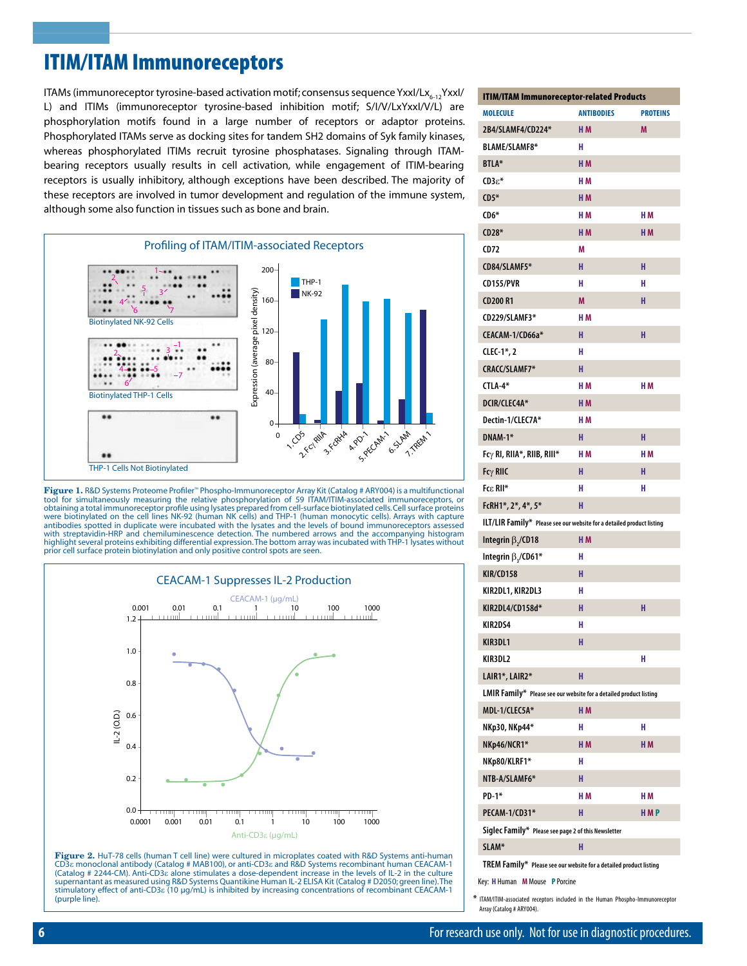# ITIM/ITAM Immunoreceptors

ITAMs (immunoreceptor tyrosine-based activation motif; consensus sequence YxxI/Lx $_{6-12}$ YxxI/ L) and ITIMs (immunoreceptor tyrosine-based inhibition motif; S/I/V/LxYxxI/V/L) are phosphorylation motifs found in a large number of receptors or adaptor proteins. Phosphorylated ITAMs serve as docking sites for tandem SH2 domains of Syk family kinases, whereas phosphorylated ITIMs recruit tyrosine phosphatases. Signaling through ITAMbearing receptors usually results in cell activation, while engagement of ITIM-bearing receptors is usually inhibitory, although exceptions have been described. The majority of these receptors are involved in tumor development and regulation of the immune system, although some also function in tissues such as bone and brain.



**Figure 1.** R&D Systems Proteome Profiler™ Phospho-Immunoreceptor Array Kit (Catalog # ARY004) is a multifunctional<br>tool for simultaneously measuring the relative phosphorylation of 59 ITAM/ITIM-associated immunoreceptors, obtaining a total immunoreceptor profile using lysates prepared from cell-surface biotinylated cells. Cell surface proteins were biotinylated on the cell lines NK-92 (human NK cells) and THP-1 (human monocytic cells). Arrays with capture<br>antibodies spotted in duplicate were incubated with the lysates and the levels of bound immunoreceptors asse with streptavidin-HRP and chemiluminescence detection. The numbered arrows and the accompanying histogram<br>highlight several proteins exhibiting differential expression.The bottom array was incubated with THP-1 lysates with



**Figure 2.** HuT-78 cells (human T cell line) were cultured in microplates coated with R&D Systems anti-human CD3e monoclonal antibody (Catalog # MAB100), or anti-CD3e and R&D Systems recombinant human CEACAM-1 (Catalog # 2244-CM). Anti-CD3e alone stimulates a dose-dependent increase in the levels of IL-2 in the culture supernantant as measured using R&D Systems Quantikine Human IL-2 ELISA Kit (Catalog # D2050; green line). The stimulatory effect of anti-CD3e (10 µg/mL) is inhibited by increasing concentrations of recombinant CEACAM-1 (purple line).

| <b>ITIM/ITAM Immunoreceptor-related Products</b>                      |                   |                 |  |  |  |  |
|-----------------------------------------------------------------------|-------------------|-----------------|--|--|--|--|
| <b>MOLECULE</b>                                                       | <b>ANTIBODIES</b> | <b>PROTEINS</b> |  |  |  |  |
| 2B4/SLAMF4/CD224*                                                     | H <sub>M</sub>    | M               |  |  |  |  |
| <b>BLAME/SLAMF8*</b>                                                  | н                 |                 |  |  |  |  |
| <b>BTLA*</b>                                                          | H <sub>M</sub>    |                 |  |  |  |  |
| $CD3\varepsilon^*$                                                    | H <sub>M</sub>    |                 |  |  |  |  |
| $CD5*$                                                                | H <sub>M</sub>    |                 |  |  |  |  |
| $CD6*$                                                                | H M               | H <sub>M</sub>  |  |  |  |  |
| $CD28*$                                                               | H <sub>M</sub>    | H <sub>M</sub>  |  |  |  |  |
| CD72                                                                  | М                 |                 |  |  |  |  |
| CD84/SLAMF5*                                                          | н                 | н               |  |  |  |  |
| <b>CD155/PVR</b>                                                      | н                 | н               |  |  |  |  |
| <b>CD200 R1</b>                                                       | M                 | н               |  |  |  |  |
| CD229/SLAMF3*                                                         | H <sub>M</sub>    |                 |  |  |  |  |
| CEACAM-1/CD66a*                                                       | н                 | н               |  |  |  |  |
| $CLEC-1*.2$                                                           | н                 |                 |  |  |  |  |
| CRACC/SLAMF7*                                                         | н                 |                 |  |  |  |  |
| CTLA-4*                                                               | H M               | H M             |  |  |  |  |
| DCIR/CLEC4A*                                                          | H <sub>M</sub>    |                 |  |  |  |  |
| Dectin-1/CLEC7A*                                                      | H M               |                 |  |  |  |  |
| DNAM-1*                                                               | н                 | н               |  |  |  |  |
| $Fc\gamma$ RI, RIIA*, RIIB, RIII*                                     | HМ                | H M             |  |  |  |  |
| Fcy RIIC                                                              | н                 | н               |  |  |  |  |
| Fcε RII*                                                              | н                 | н               |  |  |  |  |
| FcRH1*, 2*, 4*, 5*                                                    | H                 |                 |  |  |  |  |
| ILT/LIR Family* Please see our website for a detailed product listing |                   |                 |  |  |  |  |
| Integrin $\beta$ , /CD18                                              | H <sub>M</sub>    |                 |  |  |  |  |
| Integrin $\beta$ ,/CD61*                                              | н                 |                 |  |  |  |  |
| <b>KIR/CD158</b>                                                      | H                 |                 |  |  |  |  |
| KIR2DL1, KIR2DL3                                                      | н                 |                 |  |  |  |  |
| KIR2DL4/CD158d*                                                       | H                 | н               |  |  |  |  |
| KIR2DS4                                                               | н                 |                 |  |  |  |  |
| KIR3DL1                                                               | H                 |                 |  |  |  |  |
| KIR3DL2                                                               |                   | н               |  |  |  |  |
| LAIR1*, LAIR2*                                                        | н                 |                 |  |  |  |  |
| LMIR Family* Please see our website for a detailed product listing    |                   |                 |  |  |  |  |
| MDL-1/CLEC5A*                                                         | H M               |                 |  |  |  |  |
| NKp30, NKp44*                                                         | н                 | н               |  |  |  |  |
| NKp46/NCR1*                                                           | H <sub>M</sub>    | H <sub>M</sub>  |  |  |  |  |
| NKp80/KLRF1*                                                          | н                 |                 |  |  |  |  |
| NTB-A/SLAMF6*                                                         | н                 |                 |  |  |  |  |
| $PD-1*$                                                               | H M               | H M             |  |  |  |  |
| PECAM-1/CD31*                                                         | н                 | <b>HMP</b>      |  |  |  |  |
| Siglec Family* Please see page 2 of this Newsletter                   |                   |                 |  |  |  |  |
| SLAM*                                                                 | н                 |                 |  |  |  |  |
| TREM Family* Please see our website for a detailed product listing    |                   |                 |  |  |  |  |
| Key: H Human M Mouse P Porcine                                        |                   |                 |  |  |  |  |

Array (Catalog # ARY004).

**\*** ITAM/ITIM-associated receptors included in the Human Phospho-Immunoreceptor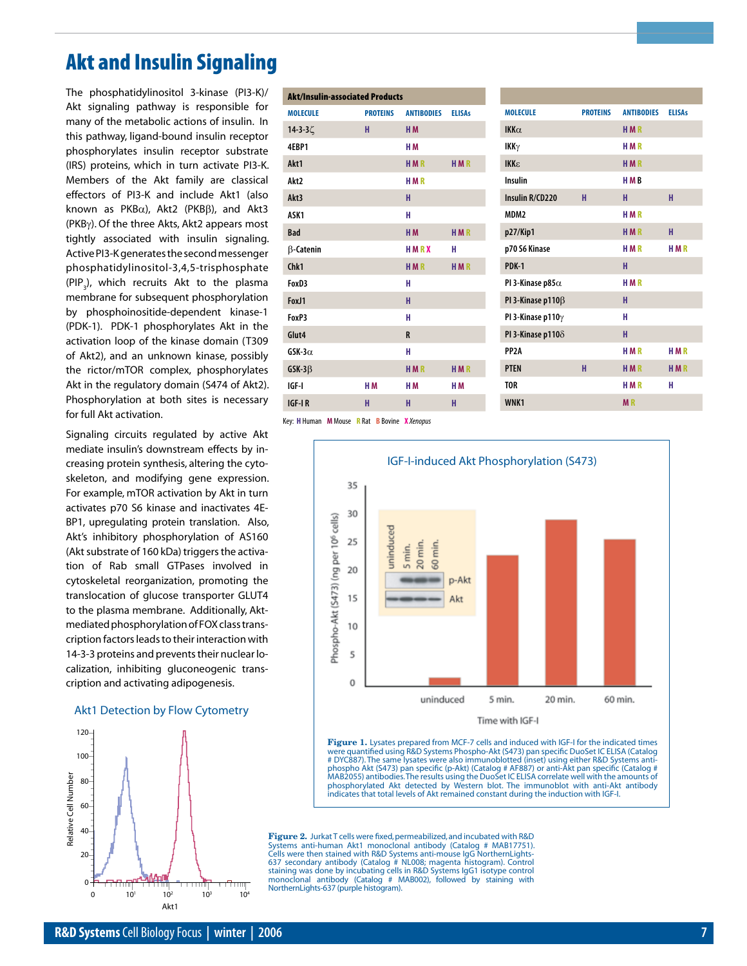# Akt and Insulin Signaling

The phosphatidylinositol 3-kinase (PI3-K)/ Akt signaling pathway is responsible for many of the metabolic actions of insulin. In this pathway, ligand-bound insulin receptor phosphorylates insulin receptor substrate (IRS) proteins, which in turn activate PI3-K. Members of the Akt family are classical effectors of PI3-K and include Akt1 (also known as  $PKB\alpha$ ), Akt2 ( $PKB\beta$ ), and Akt3 (PKBg). Of the three Akts, Akt2 appears most tightly associated with insulin signaling. Active PI3-K generates the second messenger phosphatidylinositol-3,4,5-trisphosphate (PIP<sub>3</sub>), which recruits Akt to the plasma membrane for subsequent phosphorylation by phosphoinositide-dependent kinase-1 (PDK-1). PDK-1 phosphorylates Akt in the activation loop of the kinase domain (T309 of Akt2), and an unknown kinase, possibly the rictor/mTOR complex, phosphorylates Akt in the regulatory domain (S474 of Akt2). Phosphorylation at both sites is necessary for full Akt activation.

Signaling circuits regulated by active Akt mediate insulin's downstream effects by increasing protein synthesis, altering the cytoskeleton, and modifying gene expression. For example, mTOR activation by Akt in turn activates p70 S6 kinase and inactivates 4E-BP1, upregulating protein translation. Also, Akt's inhibitory phosphorylation of AS160 (Akt substrate of 160 kDa) triggers the activation of Rab small GTPases involved in cytoskeletal reorganization, promoting the translocation of glucose transporter GLUT4 to the plasma membrane. Additionally, Aktmediated phosphorylation of FOX class transcription factors leads to their interaction with 14-3-3 proteins and prevents their nuclear localization, inhibiting gluconeogenic transcription and activating adipogenesis.

### Akt1 Detection by Flow Cytometry



|                  | <b>Akt/Insulin-associated Products</b> |                   |                |
|------------------|----------------------------------------|-------------------|----------------|
| <b>MOLECULE</b>  | <b>PROTEINS</b>                        | <b>ANTIBODIES</b> | <b>ELISAs</b>  |
| 14-3-3ζ          | н                                      | H <sub>M</sub>    |                |
| 4FRP1            |                                        | H <sub>M</sub>    |                |
| Akt1             |                                        | <b>HMR</b>        | <b>HMR</b>     |
| Akt <sub>2</sub> |                                        | <b>HMR</b>        |                |
| Akt3             |                                        | н                 |                |
| ASK <sub>1</sub> |                                        | н                 |                |
| <b>Bad</b>       |                                        | H <sub>M</sub>    | <b>HMR</b>     |
| $\beta$ -Catenin |                                        | HMRX              | н              |
| Chk1             |                                        | <b>HMR</b>        | <b>HMR</b>     |
| FoxD3            |                                        | н                 |                |
| FoxJ1            |                                        | н                 |                |
| FoxP3            |                                        | н                 |                |
| Glut4            |                                        | R                 |                |
| $GSK-3\alpha$    |                                        | н                 |                |
| $GSK-3\beta$     |                                        | <b>HMR</b>        | <b>HMR</b>     |
| IGF-I            | H <sub>M</sub>                         | H <sub>M</sub>    | H <sub>M</sub> |
| <b>IGF-IR</b>    | н                                      | н                 | н              |

| <b>MOLECULE</b>           | <b>PROTEINS</b> | <b>ANTIRODIES</b> | <b>FLISAs</b> |
|---------------------------|-----------------|-------------------|---------------|
| $IKK\alpha$               |                 | <b>HMR</b>        |               |
| IKK $\gamma$              |                 | <b>HMR</b>        |               |
| <b>IKKE</b>               |                 | <b>HMR</b>        |               |
| Insulin                   |                 | <b>HMB</b>        |               |
| Insulin R/CD220           | н               | н                 | н             |
| MDM <sub>2</sub>          |                 | <b>HMR</b>        |               |
| p27/Kip1                  |                 | <b>HMR</b>        | н             |
| p70 S6 Kinase             |                 | <b>HMR</b>        | <b>HMR</b>    |
| PDK-1                     |                 | н                 |               |
| PI 3-Kinase p85 $\alpha$  |                 | <b>HMR</b>        |               |
| PI 3-Kinase p110 $\beta$  |                 | н                 |               |
| PI 3-Kinase p110 $\gamma$ |                 | н                 |               |
| PI 3-Kinase p110 $\delta$ |                 | н                 |               |
| <b>PP</b> 2A              |                 | <b>HMR</b>        | <b>HMR</b>    |
| <b>PTEN</b>               | н               | <b>HMR</b>        | <b>HMR</b>    |
| T <sub>OR</sub>           |                 | <b>HMR</b>        | н             |
| WNK1                      |                 | <b>MR</b>         |               |

Key: **H** Human **M** Mouse **R** Rat **B** Bovine **X** *Xenopus*



**Figure 1.** Lysates prepared from MCF-7 cells and induced with IGF-I for the indicated times were quantified using R&D Systems Phospho-Akt (S473) pan specific DuoSet IC ELISA (Catalog # DYC887).The same lysates were also immunoblotted (inset) using either R&D Systems anti-<br>phospho Akt (S473) pan specific (p-Akt) (Catalog # AF887) or anti-Akt pan specific (Catalog #<br>MAB2055) antibodies.The results using phosphorylated Akt detected by Western blot. The immunoblot with anti-Akt antibody indicates that total levels of Akt remained constant during the induction with IGF-I.

**Figure 2.** Jurkat T cells were fixed, permeabilized, and incubated with R&D Systems anti-human Akt1 monoclonal antibody (Catalog # MAB17751). Cells were then stained with R&D Systems anti-mouse IgG NorthernLights-637 secondary antibody (Catalog # NL008; magenta histogram). Control<br>staining was done by incubating cells in R&D Systems IgG1 isotype control<br>monoclonal antibody (Catalog # MAB002), followed by staining with NorthernLights-637 (purple histogram).